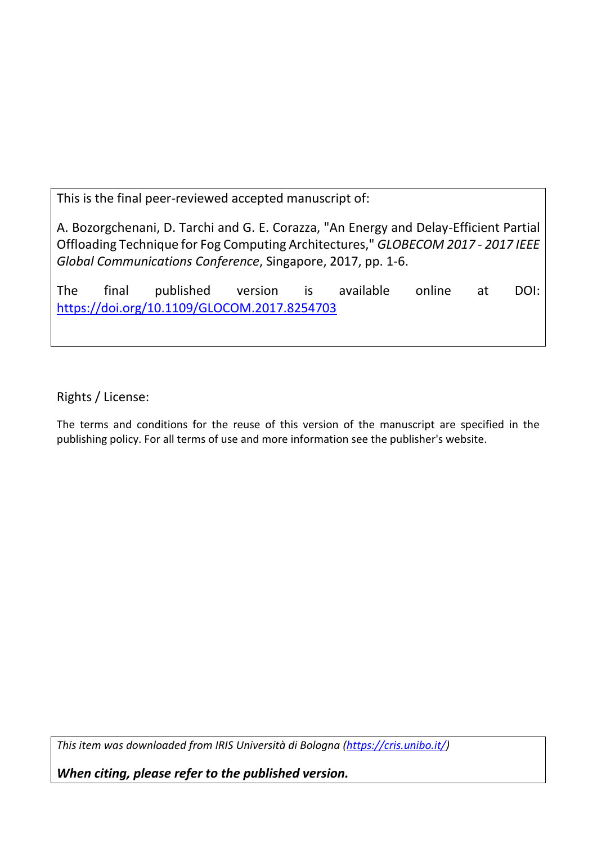This is the final peer-reviewed accepted manuscript of:

A. Bozorgchenani, D. Tarchi and G. E. Corazza, "An Energy and Delay-Efficient Partial Offloading Technique for Fog Computing Architectures," *GLOBECOM 2017 - 2017 IEEE Global Communications Conference*, Singapore, 2017, pp. 1-6.

The final published version is available online at DOI: <https://doi.org/10.1109/GLOCOM.2017.8254703>

Rights / License:

The terms and conditions for the reuse of this version of the manuscript are specified in the publishing policy. For all terms of use and more information see the publisher's website.

*This item was downloaded from IRIS Università di Bologna [\(https://cris.unibo.it/\)](https://cris.unibo.it/)*

*When citing, please refer to the published version.*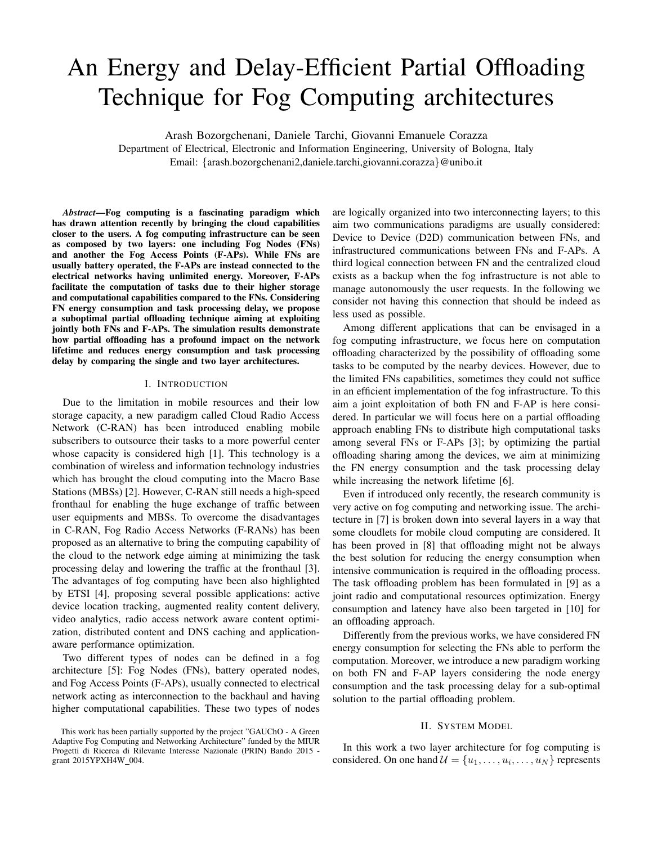# An Energy and Delay-Efficient Partial Offloading Technique for Fog Computing architectures

Arash Bozorgchenani, Daniele Tarchi, Giovanni Emanuele Corazza

Department of Electrical, Electronic and Information Engineering, University of Bologna, Italy Email: {arash.bozorgchenani2,daniele.tarchi,giovanni.corazza}@unibo.it

*Abstract***—Fog computing is a fascinating paradigm which has drawn attention recently by bringing the cloud capabilities closer to the users. A fog computing infrastructure can be seen as composed by two layers: one including Fog Nodes (FNs) and another the Fog Access Points (F-APs). While FNs are usually battery operated, the F-APs are instead connected to the electrical networks having unlimited energy. Moreover, F-APs facilitate the computation of tasks due to their higher storage and computational capabilities compared to the FNs. Considering FN energy consumption and task processing delay, we propose a suboptimal partial offloading technique aiming at exploiting jointly both FNs and F-APs. The simulation results demonstrate how partial offloading has a profound impact on the network lifetime and reduces energy consumption and task processing delay by comparing the single and two layer architectures.**

#### I. INTRODUCTION

Due to the limitation in mobile resources and their low storage capacity, a new paradigm called Cloud Radio Access Network (C-RAN) has been introduced enabling mobile subscribers to outsource their tasks to a more powerful center whose capacity is considered high [1]. This technology is a combination of wireless and information technology industries which has brought the cloud computing into the Macro Base Stations (MBSs) [2]. However, C-RAN still needs a high-speed fronthaul for enabling the huge exchange of traffic between user equipments and MBSs. To overcome the disadvantages in C-RAN, Fog Radio Access Networks (F-RANs) has been proposed as an alternative to bring the computing capability of the cloud to the network edge aiming at minimizing the task processing delay and lowering the traffic at the fronthaul [3]. The advantages of fog computing have been also highlighted by ETSI [4], proposing several possible applications: active device location tracking, augmented reality content delivery, video analytics, radio access network aware content optimization, distributed content and DNS caching and applicationaware performance optimization.

Two different types of nodes can be defined in a fog architecture [5]: Fog Nodes (FNs), battery operated nodes, and Fog Access Points (F-APs), usually connected to electrical network acting as interconnection to the backhaul and having higher computational capabilities. These two types of nodes are logically organized into two interconnecting layers; to this aim two communications paradigms are usually considered: Device to Device (D2D) communication between FNs, and infrastructured communications between FNs and F-APs. A third logical connection between FN and the centralized cloud exists as a backup when the fog infrastructure is not able to manage autonomously the user requests. In the following we consider not having this connection that should be indeed as less used as possible.

Among different applications that can be envisaged in a fog computing infrastructure, we focus here on computation offloading characterized by the possibility of offloading some tasks to be computed by the nearby devices. However, due to the limited FNs capabilities, sometimes they could not suffice in an efficient implementation of the fog infrastructure. To this aim a joint exploitation of both FN and F-AP is here considered. In particular we will focus here on a partial offloading approach enabling FNs to distribute high computational tasks among several FNs or F-APs [3]; by optimizing the partial offloading sharing among the devices, we aim at minimizing the FN energy consumption and the task processing delay while increasing the network lifetime [6].

Even if introduced only recently, the research community is very active on fog computing and networking issue. The architecture in [7] is broken down into several layers in a way that some cloudlets for mobile cloud computing are considered. It has been proved in [8] that offloading might not be always the best solution for reducing the energy consumption when intensive communication is required in the offloading process. The task offloading problem has been formulated in [9] as a joint radio and computational resources optimization. Energy consumption and latency have also been targeted in [10] for an offloading approach.

Differently from the previous works, we have considered FN energy consumption for selecting the FNs able to perform the computation. Moreover, we introduce a new paradigm working on both FN and F-AP layers considering the node energy consumption and the task processing delay for a sub-optimal solution to the partial offloading problem.

#### II. SYSTEM MODEL

In this work a two layer architecture for fog computing is considered. On one hand  $\mathcal{U} = \{u_1, \dots, u_i, \dots, u_N\}$  represents

This work has been partially supported by the project "GAUChO - A Green Adaptive Fog Computing and Networking Architecture" funded by the MIUR Progetti di Ricerca di Rilevante Interesse Nazionale (PRIN) Bando 2015 grant 2015YPXH4W\_004.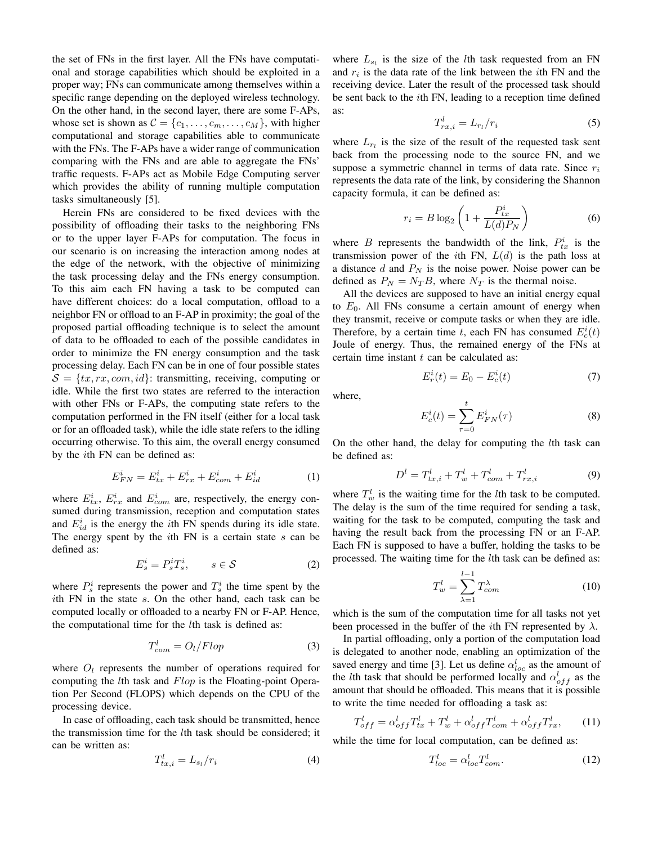the set of FNs in the first layer. All the FNs have computational and storage capabilities which should be exploited in a proper way; FNs can communicate among themselves within a specific range depending on the deployed wireless technology. On the other hand, in the second layer, there are some F-APs, whose set is shown as  $C = \{c_1, \ldots, c_m, \ldots, c_M\}$ , with higher computational and storage capabilities able to communicate with the FNs. The F-APs have a wider range of communication comparing with the FNs and are able to aggregate the FNs' traffic requests. F-APs act as Mobile Edge Computing server which provides the ability of running multiple computation tasks simultaneously [5].

Herein FNs are considered to be fixed devices with the possibility of offloading their tasks to the neighboring FNs or to the upper layer F-APs for computation. The focus in our scenario is on increasing the interaction among nodes at the edge of the network, with the objective of minimizing the task processing delay and the FNs energy consumption. To this aim each FN having a task to be computed can have different choices: do a local computation, offload to a neighbor FN or offload to an F-AP in proximity; the goal of the proposed partial offloading technique is to select the amount of data to be offloaded to each of the possible candidates in order to minimize the FN energy consumption and the task processing delay. Each FN can be in one of four possible states  $S = \{tx, rx, com, id\}$ : transmitting, receiving, computing or idle. While the first two states are referred to the interaction with other FNs or F-APs, the computing state refers to the computation performed in the FN itself (either for a local task or for an offloaded task), while the idle state refers to the idling occurring otherwise. To this aim, the overall energy consumed by the ith FN can be defined as:

$$
E_{FN}^i = E_{tx}^i + E_{rx}^i + E_{com}^i + E_{id}^i \tag{1}
$$

where  $E_{tx}^{i}$ ,  $E_{rx}^{i}$  and  $E_{com}^{i}$  are, respectively, the energy consumed during transmission, reception and computation states and  $E_{id}^{i}$  is the energy the *i*th FN spends during its idle state. The energy spent by the  $i$ th FN is a certain state  $s$  can be defined as:

$$
E_s^i = P_s^i T_s^i, \qquad s \in \mathcal{S} \tag{2}
$$

where  $P_s^i$  represents the power and  $T_s^i$  the time spent by the ith FN in the state s. On the other hand, each task can be computed locally or offloaded to a nearby FN or F-AP. Hence, the computational time for the  $l$ th task is defined as:

$$
T_{com}^l = O_l/Flop \tag{3}
$$

where  $O_l$  represents the number of operations required for computing the *l*th task and *Flop* is the Floating-point Operation Per Second (FLOPS) which depends on the CPU of the processing device.

In case of offloading, each task should be transmitted, hence the transmission time for the lth task should be considered; it can be written as:

$$
T_{tx,i}^l = L_{s_l}/r_i \tag{4}
$$

where  $L_{s_l}$  is the size of the *l*th task requested from an FN and  $r_i$  is the data rate of the link between the *i*th FN and the receiving device. Later the result of the processed task should be sent back to the ith FN, leading to a reception time defined as:

$$
T_{rx,i}^l = L_{r_l}/r_i \tag{5}
$$

where  $L_{r_l}$  is the size of the result of the requested task sent back from the processing node to the source FN, and we suppose a symmetric channel in terms of data rate. Since  $r_i$ represents the data rate of the link, by considering the Shannon capacity formula, it can be defined as:

$$
r_i = B \log_2 \left( 1 + \frac{P_{tx}^i}{L(d)P_N} \right) \tag{6}
$$

where  $B$  represents the bandwidth of the link,  $P_{tx}^{i}$  is the transmission power of the *i*th FN,  $L(d)$  is the path loss at a distance  $d$  and  $P_N$  is the noise power. Noise power can be defined as  $P_N = N_T B$ , where  $N_T$  is the thermal noise.

All the devices are supposed to have an initial energy equal to  $E_0$ . All FNs consume a certain amount of energy when they transmit, receive or compute tasks or when they are idle. Therefore, by a certain time t, each FN has consumed  $E_c^i(t)$ Joule of energy. Thus, the remained energy of the FNs at certain time instant  $t$  can be calculated as:

$$
E_r^i(t) = E_0 - E_c^i(t)
$$
 (7)

where,

$$
E_c^i(t) = \sum_{\tau=0}^t E_{FN}^i(\tau) \tag{8}
$$

On the other hand, the delay for computing the  $l$ th task can be defined as:

$$
D^{l} = T_{tx,i}^{l} + T_{w}^{l} + T_{com}^{l} + T_{rx,i}^{l}
$$
 (9)

where  $T_w^l$  is the waiting time for the *l*th task to be computed. The delay is the sum of the time required for sending a task, waiting for the task to be computed, computing the task and having the result back from the processing FN or an F-AP. Each FN is supposed to have a buffer, holding the tasks to be processed. The waiting time for the lth task can be defined as:

$$
T_w^l = \sum_{\lambda=1}^{l-1} T_{com}^{\lambda} \tag{10}
$$

which is the sum of the computation time for all tasks not yet been processed in the buffer of the *i*th FN represented by  $\lambda$ .

In partial offloading, only a portion of the computation load is delegated to another node, enabling an optimization of the saved energy and time [3]. Let us define  $\alpha_{loc}^l$  as the amount of the *l*th task that should be performed locally and  $\alpha_{off}^l$  as the amount that should be offloaded. This means that it is possible to write the time needed for offloading a task as:

$$
T_{off}^l = \alpha_{off}^l T_{tx}^l + T_w^l + \alpha_{off}^l T_{com}^l + \alpha_{off}^l T_{rx}^l, \qquad (11)
$$

while the time for local computation, can be defined as:

$$
T_{loc}^l = \alpha_{loc}^l T_{com}^l. \tag{12}
$$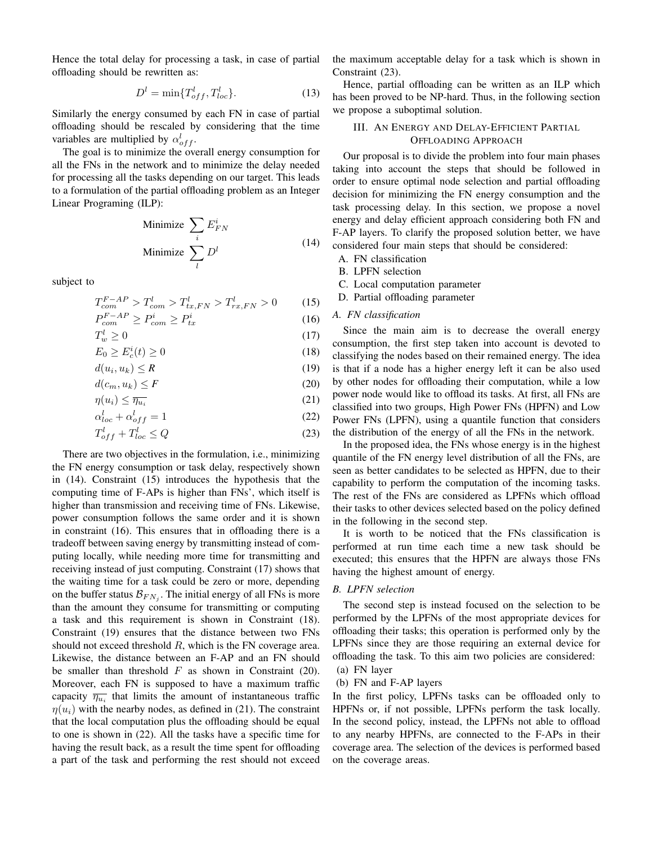Hence the total delay for processing a task, in case of partial offloading should be rewritten as:

$$
D^l = \min\{T_{off}^l, T_{loc}^l\}.
$$
\n(13)

Similarly the energy consumed by each FN in case of partial offloading should be rescaled by considering that the time variables are multiplied by  $\alpha_{off}^l$ .

The goal is to minimize the overall energy consumption for all the FNs in the network and to minimize the delay needed for processing all the tasks depending on our target. This leads to a formulation of the partial offloading problem as an Integer Linear Programing (ILP):

Minimize 
$$
\sum_{i} E_{FN}^{i}
$$
  
Minimize 
$$
\sum_{l} D^{l}
$$
 (14)

subject to

$$
T_{com}^{F-AP} > T_{com}^l > T_{tx,FN}^l > T_{rx,FN}^l > 0
$$
 (15)

$$
P_{com}^{F-AP} \ge P_{com}^i \ge P_{tx}^i \tag{16}
$$

$$
T_w^l \ge 0 \tag{17}
$$

$$
E_0 \ge E_c^i(t) \ge 0\tag{18}
$$

$$
d(u_i, u_k) \le R \tag{19}
$$

$$
d(c_m, u_k) \le F \tag{20}
$$

$$
\eta(u_i) \le \overline{\eta_{u_i}} \tag{21}
$$

$$
\alpha_{loc}^l + \alpha_{off}^l = 1\tag{22}
$$

$$
T_{off}^l + T_{loc}^l \le Q \tag{23}
$$

There are two objectives in the formulation, i.e., minimizing the FN energy consumption or task delay, respectively shown in (14). Constraint (15) introduces the hypothesis that the computing time of F-APs is higher than FNs', which itself is higher than transmission and receiving time of FNs. Likewise, power consumption follows the same order and it is shown in constraint (16). This ensures that in offloading there is a tradeoff between saving energy by transmitting instead of computing locally, while needing more time for transmitting and receiving instead of just computing. Constraint (17) shows that the waiting time for a task could be zero or more, depending on the buffer status  $\mathcal{B}_{FN_j}$ . The initial energy of all FNs is more than the amount they consume for transmitting or computing a task and this requirement is shown in Constraint (18). Constraint (19) ensures that the distance between two FNs should not exceed threshold  $R$ , which is the FN coverage area. Likewise, the distance between an F-AP and an FN should be smaller than threshold  $F$  as shown in Constraint (20). Moreover, each FN is supposed to have a maximum traffic capacity  $\overline{\eta_{u_i}}$  that limits the amount of instantaneous traffic  $\eta(u_i)$  with the nearby nodes, as defined in (21). The constraint that the local computation plus the offloading should be equal to one is shown in (22). All the tasks have a specific time for having the result back, as a result the time spent for offloading a part of the task and performing the rest should not exceed the maximum acceptable delay for a task which is shown in Constraint (23).

Hence, partial offloading can be written as an ILP which has been proved to be NP-hard. Thus, in the following section we propose a suboptimal solution.

# III. AN ENERGY AND DELAY-EFFICIENT PARTIAL OFFLOADING APPROACH

Our proposal is to divide the problem into four main phases taking into account the steps that should be followed in order to ensure optimal node selection and partial offloading decision for minimizing the FN energy consumption and the task processing delay. In this section, we propose a novel energy and delay efficient approach considering both FN and F-AP layers. To clarify the proposed solution better, we have considered four main steps that should be considered:

A. FN classification

B. LPFN selection

C. Local computation parameter

D. Partial offloading parameter

## *A. FN classification*

Since the main aim is to decrease the overall energy consumption, the first step taken into account is devoted to classifying the nodes based on their remained energy. The idea is that if a node has a higher energy left it can be also used by other nodes for offloading their computation, while a low power node would like to offload its tasks. At first, all FNs are classified into two groups, High Power FNs (HPFN) and Low Power FNs (LPFN), using a quantile function that considers the distribution of the energy of all the FNs in the network.

In the proposed idea, the FNs whose energy is in the highest quantile of the FN energy level distribution of all the FNs, are seen as better candidates to be selected as HPFN, due to their capability to perform the computation of the incoming tasks. The rest of the FNs are considered as LPFNs which offload their tasks to other devices selected based on the policy defined in the following in the second step.

It is worth to be noticed that the FNs classification is performed at run time each time a new task should be executed; this ensures that the HPFN are always those FNs having the highest amount of energy.

### *B. LPFN selection*

The second step is instead focused on the selection to be performed by the LPFNs of the most appropriate devices for offloading their tasks; this operation is performed only by the LPFNs since they are those requiring an external device for offloading the task. To this aim two policies are considered:

- (a) FN layer
- (b) FN and F-AP layers

In the first policy, LPFNs tasks can be offloaded only to HPFNs or, if not possible, LPFNs perform the task locally. In the second policy, instead, the LPFNs not able to offload to any nearby HPFNs, are connected to the F-APs in their coverage area. The selection of the devices is performed based on the coverage areas.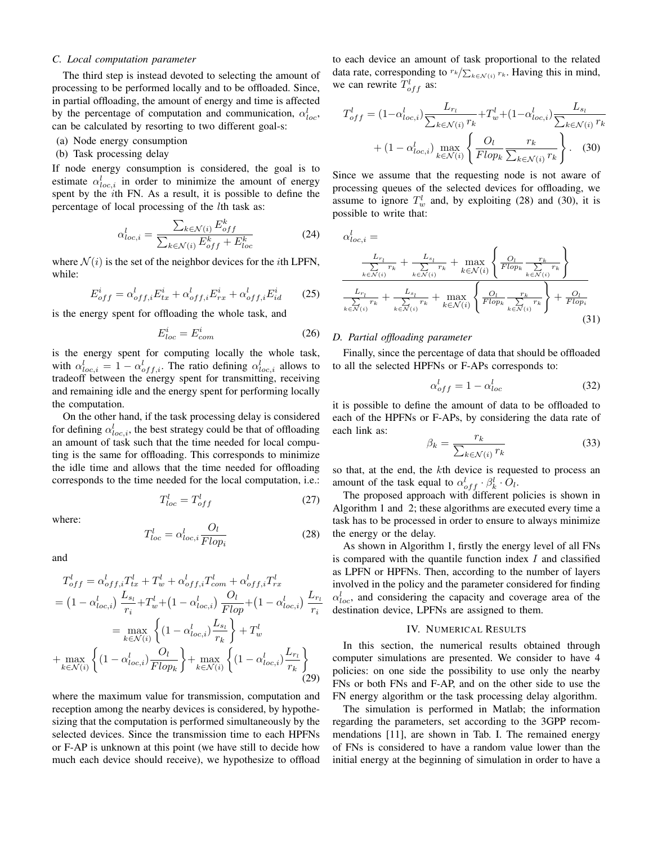#### *C. Local computation parameter*

The third step is instead devoted to selecting the amount of processing to be performed locally and to be offloaded. Since, in partial offloading, the amount of energy and time is affected by the percentage of computation and communication,  $\alpha_{loc}^l$ , can be calculated by resorting to two different goal-s:

- (a) Node energy consumption
- (b) Task processing delay

If node energy consumption is considered, the goal is to estimate  $\alpha_{loc,i}^l$  in order to minimize the amount of energy spent by the *i*th FN. As a result, it is possible to define the percentage of local processing of the lth task as:

$$
\alpha_{loc,i}^l = \frac{\sum_{k \in \mathcal{N}(i)} E_{off}^k}{\sum_{k \in \mathcal{N}(i)} E_{off}^k + E_{loc}^k}
$$
(24)

where  $\mathcal{N}(i)$  is the set of the neighbor devices for the *i*th LPFN, while:

$$
E_{off}^i = \alpha_{off,i}^l E_{tx}^i + \alpha_{off,i}^l E_{rx}^i + \alpha_{off,i}^l E_{id}^i \qquad (25)
$$

is the energy spent for offloading the whole task, and

$$
E_{loc}^i = E_{com}^i \tag{26}
$$

is the energy spent for computing locally the whole task, with  $\alpha_{loc,i}^l = 1 - \alpha_{off,i}^l$ . The ratio defining  $\alpha_{loc,i}^l$  allows to tradeoff between the energy spent for transmitting, receiving and remaining idle and the energy spent for performing locally the computation.

On the other hand, if the task processing delay is considered for defining  $\alpha_{loc,i}^l$ , the best strategy could be that of offloading an amount of task such that the time needed for local computing is the same for offloading. This corresponds to minimize the idle time and allows that the time needed for offloading corresponds to the time needed for the local computation, i.e.:

$$
T_{loc}^l = T_{off}^l \tag{27}
$$

where:

$$
T_{loc}^l = \alpha_{loc,i}^l \frac{O_l}{Flop_i}
$$
 (28)

and

$$
T_{off}^{l} = \alpha_{off,i}^{l} T_{tx}^{l} + T_{w}^{l} + \alpha_{off,i}^{l} T_{com}^{l} + \alpha_{off,i}^{l} T_{rx}^{l}
$$
  
=  $(1 - \alpha_{loc,i}^{l}) \frac{L_{s_{l}}}{r_{i}} + T_{w}^{l} + (1 - \alpha_{loc,i}^{l}) \frac{O_{l}}{Flop} + (1 - \alpha_{loc,i}^{l}) \frac{L_{r_{l}}}{r_{i}}$   
=  $\max_{k \in \mathcal{N}(i)} \left\{ (1 - \alpha_{loc,i}^{l}) \frac{L_{s_{l}}}{r_{k}} \right\} + T_{w}^{l}$   
+  $\max_{k \in \mathcal{N}(i)} \left\{ (1 - \alpha_{loc,i}^{l}) \frac{O_{l}}{Flop_{k}} \right\} + \max_{k \in \mathcal{N}(i)} \left\{ (1 - \alpha_{loc,i}^{l}) \frac{L_{r_{l}}}{r_{k}} \right\}$  (29)

where the maximum value for transmission, computation and reception among the nearby devices is considered, by hypothesizing that the computation is performed simultaneously by the selected devices. Since the transmission time to each HPFNs or F-AP is unknown at this point (we have still to decide how much each device should receive), we hypothesize to offload to each device an amount of task proportional to the related data rate, corresponding to  $r_k/\sum_{k \in \mathcal{N}(i)} r_k$ . Having this in mind, we can rewrite  $T_{off}^l$  as:

$$
T_{off}^{l} = (1 - \alpha_{loc,i}^{l}) \frac{L_{r_{l}}}{\sum_{k \in \mathcal{N}(i)} r_{k}} + T_{w}^{l} + (1 - \alpha_{loc,i}^{l}) \frac{L_{s_{l}}}{\sum_{k \in \mathcal{N}(i)} r_{k}} + (1 - \alpha_{loc,i}^{l}) \max_{k \in \mathcal{N}(i)} \left\{ \frac{O_{l}}{Flop_{k}} \frac{r_{k}}{\sum_{k \in \mathcal{N}(i)} r_{k}} \right\}.
$$
 (30)

Since we assume that the requesting node is not aware of processing queues of the selected devices for offloading, we assume to ignore  $T_w^l$  and, by exploiting (28) and (30), it is possible to write that:

$$
\alpha_{loc,i}^l = \frac{L_{r_l}}{\sum\limits_{k \in \mathcal{N}(i)} r_k} + \frac{L_{s_l}}{\sum\limits_{k \in \mathcal{N}(i)} r_k} + \max_{k \in \mathcal{N}(i)} \left\{ \frac{O_l}{Flop_k} \frac{r_k}{\sum\limits_{k \in \mathcal{N}(i)} r_k} \right\}
$$
\n
$$
\frac{L_{r_l}}{\sum\limits_{k \in \mathcal{N}(i)} r_k} + \frac{L_{s_l}}{\sum\limits_{k \in \mathcal{N}(i)} r_k} + \max_{k \in \mathcal{N}(i)} \left\{ \frac{O_l}{Flop_k} \frac{r_k}{\sum\limits_{k \in \mathcal{N}(i)} r_k} \right\} + \frac{O_l}{Flop_i}
$$
\n(31)

### *D. Partial offloading parameter*

Finally, since the percentage of data that should be offloaded to all the selected HPFNs or F-APs corresponds to:

$$
\alpha_{off}^l = 1 - \alpha_{loc}^l \tag{32}
$$

it is possible to define the amount of data to be offloaded to each of the HPFNs or F-APs, by considering the data rate of each link as:

$$
\beta_k = \frac{r_k}{\sum_{k \in \mathcal{N}(i)} r_k} \tag{33}
$$

so that, at the end, the kth device is requested to process an amount of the task equal to  $\alpha_{off}^l \cdot \beta_k^l \cdot O_l$ .

The proposed approach with different policies is shown in Algorithm 1 and 2; these algorithms are executed every time a task has to be processed in order to ensure to always minimize the energy or the delay.

As shown in Algorithm 1, firstly the energy level of all FNs is compared with the quantile function index  $I$  and classified as LPFN or HPFNs. Then, according to the number of layers involved in the policy and the parameter considered for finding  $\alpha_{loc}^l$ , and considering the capacity and coverage area of the destination device, LPFNs are assigned to them.

#### IV. NUMERICAL RESULTS

In this section, the numerical results obtained through computer simulations are presented. We consider to have 4 policies: on one side the possibility to use only the nearby FNs or both FNs and F-AP, and on the other side to use the FN energy algorithm or the task processing delay algorithm.

The simulation is performed in Matlab; the information regarding the parameters, set according to the 3GPP recommendations [11], are shown in Tab. I. The remained energy of FNs is considered to have a random value lower than the initial energy at the beginning of simulation in order to have a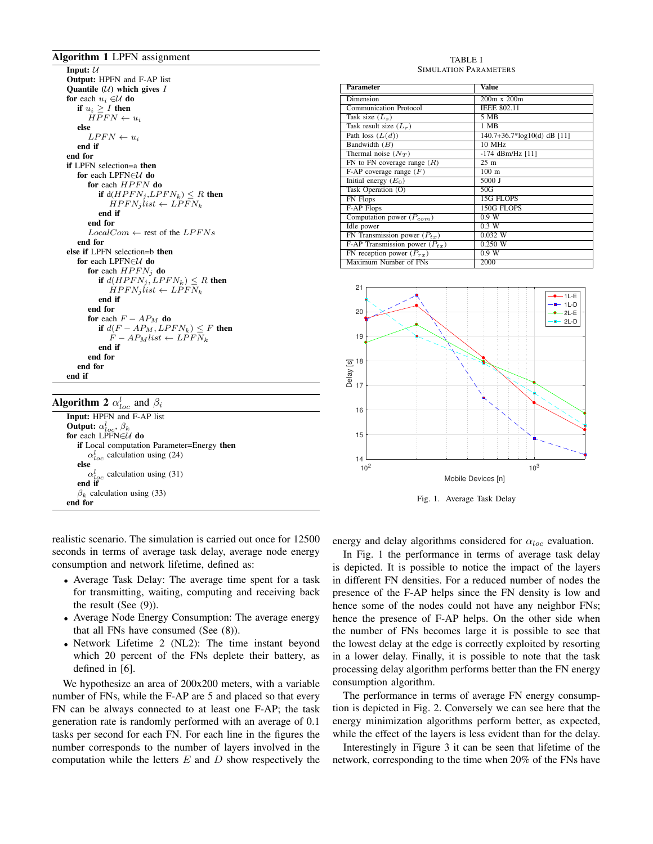| Algorithm 1 LPFN assignment               |
|-------------------------------------------|
| Input: $\mathcal{U}$                      |
| <b>Output:</b> HPFN and F-AP list         |
| Quantile $(U)$ which gives I              |
| for each $u_i \in \mathcal{U}$ do         |
| if $u_i > I$ then                         |
| $HPFN \leftarrow u_i$                     |
| else                                      |
| $LPFN \leftarrow u_i$                     |
| end if                                    |
| end for                                   |
| <b>if</b> LPFN selection=a then           |
| for each LPFN $\in\mathcal{U}$ do         |
| for each $HPFN$ do                        |
| if $d(HPFN_i, LPFN_k) \leq R$ then        |
| $HPFN_jlist \leftarrow LPFN_k$            |
| end if                                    |
| end for                                   |
| $LocalCom \leftarrow$ rest of the $LPFNs$ |
| end for                                   |
| else if LPFN selection=b then             |
| for each LPFN $\in \mathcal{U}$ do        |
| for each $HPFN_j$ do                      |
| if $d(HPFN_j, LPFN_k) \leq R$ then        |
| $HPFN_{{i}}{{i}st \leftarrow LPFN_{{k}}}$ |
| end if                                    |
| end for                                   |
| for each $F - AP_M$ do                    |
| if $d(F - AP_M, LPFN_k) \leq F$ then      |
| $F - AP_Mlist \leftarrow LPFN_k$          |
| end if                                    |
| end for                                   |
| end for                                   |
| end if                                    |
|                                           |
|                                           |

# **Algorithm 2**  $\alpha_{loc}^l$  and  $\beta_i$

| <b>Input:</b> HPFN and F-AP list                  |
|---------------------------------------------------|
| <b>Output:</b> $\alpha_{loc}^l$ , $\beta_k$       |
| for each LPFN $\in \mathcal{U}$ do                |
| <b>if</b> Local computation Parameter=Energy then |
| $\alpha_{loc}^{i}$ calculation using (24)         |
| else                                              |
| $\alpha_{loc}^{l}$ calculation using (31)         |
| end if                                            |
| $\beta_k$ calculation using (33)                  |
| end for                                           |

realistic scenario. The simulation is carried out once for 12500 seconds in terms of average task delay, average node energy consumption and network lifetime, defined as:

- Average Task Delay: The average time spent for a task for transmitting, waiting, computing and receiving back the result (See (9)).
- Average Node Energy Consumption: The average energy that all FNs have consumed (See (8)).
- Network Lifetime 2 (NL2): The time instant beyond which 20 percent of the FNs deplete their battery, as defined in [6].

We hypothesize an area of 200x200 meters, with a variable number of FNs, while the F-AP are 5 and placed so that every FN can be always connected to at least one F-AP; the task generation rate is randomly performed with an average of 0.1 tasks per second for each FN. For each line in the figures the number corresponds to the number of layers involved in the computation while the letters  $E$  and  $D$  show respectively the

#### TABLE I SIMULATION PARAMETERS

| Parameter                          | Value                       |
|------------------------------------|-----------------------------|
| Dimension                          | $200m \times 200m$          |
| <b>Communication Protocol</b>      | <b>IEEE 802.11</b>          |
| Task size $(L_s)$                  | 5 MB                        |
| Task result size $(L_r)$           | $1$ MB                      |
| Path loss $(L(d))$                 | 140.7+36.7*log10(d) dB [11] |
| Bandwidth $(B)$                    | 10 MHz                      |
| Thermal noise $(N_T)$              | $-174$ dBm/Hz [11]          |
| FN to FN coverage range $(R)$      | 25 <sub>m</sub>             |
| F-AP coverage range $(F)$          | 100 <sub>m</sub>            |
| Initial energy $(E_0)$             | 5000 J                      |
| Task Operation (O)                 | 50G                         |
| FN Flops                           | 15G FLOPS                   |
| F-AP Flops                         | 150G FLOPS                  |
| Computation power $(P_{com})$      | 0.9 W                       |
| Idle power                         | 0.3 W                       |
| FN Transmission power $(P_{tx})$   | 0.032 W                     |
| F-AP Transmission power $(P_{tx})$ | 0.250 W                     |
| FN reception power $(P_{rx})$      | 0.9 W                       |
| Maximum Number of FNs              | 2000                        |



Fig. 1. Average Task Delay

energy and delay algorithms considered for  $\alpha_{loc}$  evaluation.

In Fig. 1 the performance in terms of average task delay is depicted. It is possible to notice the impact of the layers in different FN densities. For a reduced number of nodes the presence of the F-AP helps since the FN density is low and hence some of the nodes could not have any neighbor FNs; hence the presence of F-AP helps. On the other side when the number of FNs becomes large it is possible to see that the lowest delay at the edge is correctly exploited by resorting in a lower delay. Finally, it is possible to note that the task processing delay algorithm performs better than the FN energy consumption algorithm.

The performance in terms of average FN energy consumption is depicted in Fig. 2. Conversely we can see here that the energy minimization algorithms perform better, as expected, while the effect of the layers is less evident than for the delay.

Interestingly in Figure 3 it can be seen that lifetime of the network, corresponding to the time when 20% of the FNs have